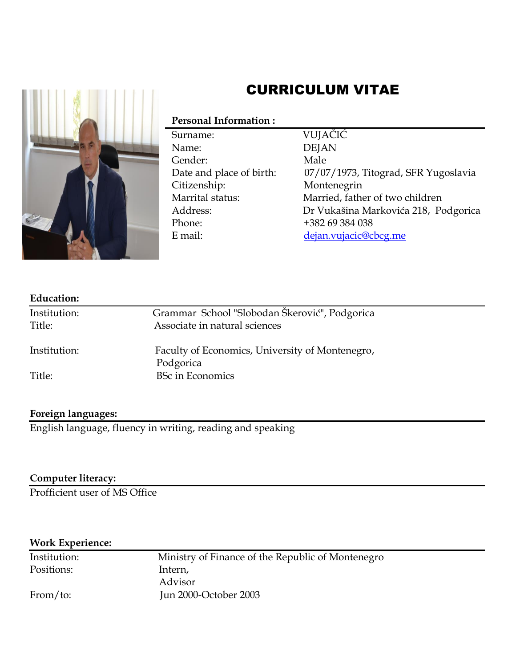

# CURRICULUM VITAE

## **Personal Information :**

 Surname: VUJAČIĆ Name: DEJAN Gender: Male Citizenship: Montenegrin Phone: +382 69 384 038 E mail: [dejan.vujacic@cbcg.me](mailto:dejan.vujacic@cbcg.me)

Date and place of birth: 07/07/1973, Titograd, SFR Yugoslavia Marrital status: Married, father of two children Address: Dr Vukašina Markovića 218, Podgorica

| <b>Education:</b> |                                                              |  |
|-------------------|--------------------------------------------------------------|--|
| Institution:      | Grammar School "Slobodan Škerović", Podgorica                |  |
| Title:            | Associate in natural sciences                                |  |
| Institution:      | Faculty of Economics, University of Montenegro,<br>Podgorica |  |
| Title:            | <b>BSc in Economics</b>                                      |  |

## **Foreign languages:**

English language, fluency in writing, reading and speaking

## **Computer literacy:**

Profficient user of MS Office

## **Work Experience:**

Positions: Intern,

Institution: Ministry of Finance of the Republic of Montenegro Advisor From/to: Jun 2000-October 2003